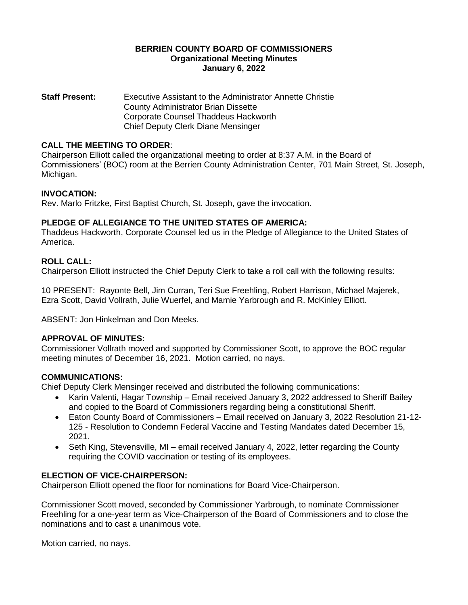### **BERRIEN COUNTY BOARD OF COMMISSIONERS Organizational Meeting Minutes January 6, 2022**

**Staff Present:** Executive Assistant to the Administrator Annette Christie County Administrator Brian Dissette Corporate Counsel Thaddeus Hackworth Chief Deputy Clerk Diane Mensinger

## **CALL THE MEETING TO ORDER**:

Chairperson Elliott called the organizational meeting to order at 8:37 A.M. in the Board of Commissioners' (BOC) room at the Berrien County Administration Center, 701 Main Street, St. Joseph, Michigan.

## **INVOCATION:**

Rev. Marlo Fritzke, First Baptist Church, St. Joseph, gave the invocation.

# **PLEDGE OF ALLEGIANCE TO THE UNITED STATES OF AMERICA:**

Thaddeus Hackworth, Corporate Counsel led us in the Pledge of Allegiance to the United States of America.

# **ROLL CALL:**

Chairperson Elliott instructed the Chief Deputy Clerk to take a roll call with the following results:

10 PRESENT: Rayonte Bell, Jim Curran, Teri Sue Freehling, Robert Harrison, Michael Majerek, Ezra Scott, David Vollrath, Julie Wuerfel, and Mamie Yarbrough and R. McKinley Elliott.

ABSENT: Jon Hinkelman and Don Meeks.

## **APPROVAL OF MINUTES:**

Commissioner Vollrath moved and supported by Commissioner Scott, to approve the BOC regular meeting minutes of December 16, 2021. Motion carried, no nays.

## **COMMUNICATIONS:**

Chief Deputy Clerk Mensinger received and distributed the following communications:

- Karin Valenti, Hagar Township Email received January 3, 2022 addressed to Sheriff Bailey and copied to the Board of Commissioners regarding being a constitutional Sheriff.
- Eaton County Board of Commissioners Email received on January 3, 2022 Resolution 21-12- 125 - Resolution to Condemn Federal Vaccine and Testing Mandates dated December 15, 2021.
- Seth King, Stevensville, MI email received January 4, 2022, letter regarding the County requiring the COVID vaccination or testing of its employees.

## **ELECTION OF VICE-CHAIRPERSON:**

Chairperson Elliott opened the floor for nominations for Board Vice-Chairperson.

Commissioner Scott moved, seconded by Commissioner Yarbrough, to nominate Commissioner Freehling for a one-year term as Vice-Chairperson of the Board of Commissioners and to close the nominations and to cast a unanimous vote.

Motion carried, no nays.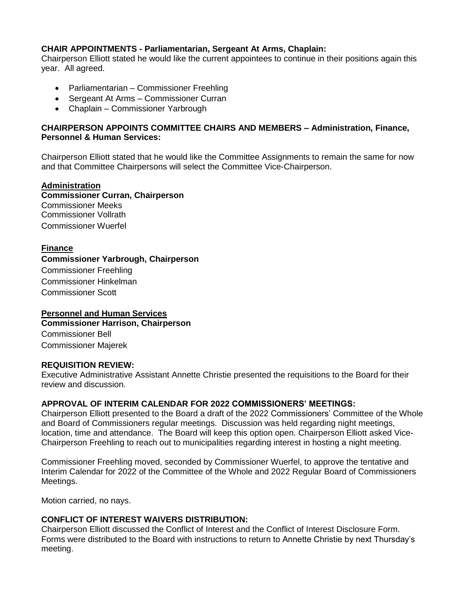# **CHAIR APPOINTMENTS - Parliamentarian, Sergeant At Arms, Chaplain:**

Chairperson Elliott stated he would like the current appointees to continue in their positions again this year. All agreed.

- Parliamentarian Commissioner Freehling
- Sergeant At Arms Commissioner Curran
- Chaplain Commissioner Yarbrough

## **CHAIRPERSON APPOINTS COMMITTEE CHAIRS AND MEMBERS – Administration, Finance, Personnel & Human Services:**

Chairperson Elliott stated that he would like the Committee Assignments to remain the same for now and that Committee Chairpersons will select the Committee Vice-Chairperson.

### **Administration Commissioner Curran, Chairperson** Commissioner Meeks Commissioner Vollrath Commissioner Wuerfel

# **Finance**

### **Commissioner Yarbrough, Chairperson**

Commissioner Freehling Commissioner Hinkelman Commissioner Scott

# **Personnel and Human Services**

**Commissioner Harrison, Chairperson** Commissioner Bell Commissioner Majerek

## **REQUISITION REVIEW:**

Executive Administrative Assistant Annette Christie presented the requisitions to the Board for their review and discussion.

## **APPROVAL OF INTERIM CALENDAR FOR 2022 COMMISSIONERS' MEETINGS:**

Chairperson Elliott presented to the Board a draft of the 2022 Commissioners' Committee of the Whole and Board of Commissioners regular meetings. Discussion was held regarding night meetings, location, time and attendance. The Board will keep this option open. Chairperson Elliott asked Vice-Chairperson Freehling to reach out to municipalities regarding interest in hosting a night meeting.

Commissioner Freehling moved, seconded by Commissioner Wuerfel, to approve the tentative and Interim Calendar for 2022 of the Committee of the Whole and 2022 Regular Board of Commissioners Meetings.

Motion carried, no nays.

## **CONFLICT OF INTEREST WAIVERS DISTRIBUTION:**

Chairperson Elliott discussed the Conflict of Interest and the Conflict of Interest Disclosure Form. Forms were distributed to the Board with instructions to return to Annette Christie by next Thursday's meeting.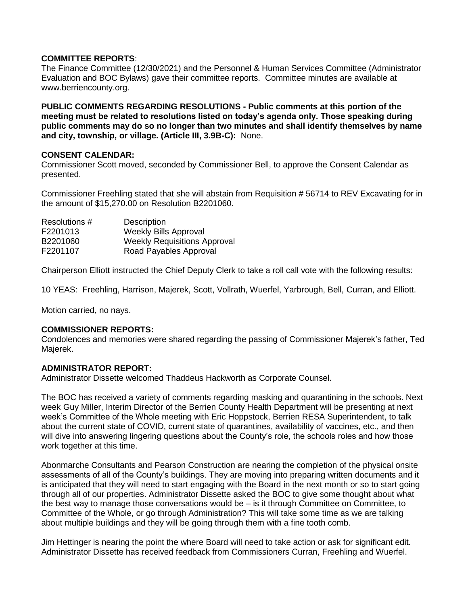## **COMMITTEE REPORTS**:

The Finance Committee (12/30/2021) and the Personnel & Human Services Committee (Administrator Evaluation and BOC Bylaws) gave their committee reports. Committee minutes are available at www.berriencounty.org.

**PUBLIC COMMENTS REGARDING RESOLUTIONS - Public comments at this portion of the meeting must be related to resolutions listed on today's agenda only. Those speaking during public comments may do so no longer than two minutes and shall identify themselves by name and city, township, or village. (Article III, 3.9B-C):** None.

### **CONSENT CALENDAR:**

Commissioner Scott moved, seconded by Commissioner Bell, to approve the Consent Calendar as presented.

Commissioner Freehling stated that she will abstain from Requisition # 56714 to REV Excavating for in the amount of \$15,270.00 on Resolution B2201060.

| Resolutions # | <b>Description</b>                  |
|---------------|-------------------------------------|
| F2201013      | <b>Weekly Bills Approval</b>        |
| B2201060      | <b>Weekly Requisitions Approval</b> |
| F2201107      | Road Payables Approval              |

Chairperson Elliott instructed the Chief Deputy Clerk to take a roll call vote with the following results:

10 YEAS: Freehling, Harrison, Majerek, Scott, Vollrath, Wuerfel, Yarbrough, Bell, Curran, and Elliott.

Motion carried, no nays.

### **COMMISSIONER REPORTS:**

Condolences and memories were shared regarding the passing of Commissioner Majerek's father, Ted Majerek.

### **ADMINISTRATOR REPORT:**

Administrator Dissette welcomed Thaddeus Hackworth as Corporate Counsel.

The BOC has received a variety of comments regarding masking and quarantining in the schools. Next week Guy Miller, Interim Director of the Berrien County Health Department will be presenting at next week's Committee of the Whole meeting with Eric Hoppstock, Berrien RESA Superintendent, to talk about the current state of COVID, current state of quarantines, availability of vaccines, etc., and then will dive into answering lingering questions about the County's role, the schools roles and how those work together at this time.

Abonmarche Consultants and Pearson Construction are nearing the completion of the physical onsite assessments of all of the County's buildings. They are moving into preparing written documents and it is anticipated that they will need to start engaging with the Board in the next month or so to start going through all of our properties. Administrator Dissette asked the BOC to give some thought about what the best way to manage those conversations would be – is it through Committee on Committee, to Committee of the Whole, or go through Administration? This will take some time as we are talking about multiple buildings and they will be going through them with a fine tooth comb.

Jim Hettinger is nearing the point the where Board will need to take action or ask for significant edit. Administrator Dissette has received feedback from Commissioners Curran, Freehling and Wuerfel.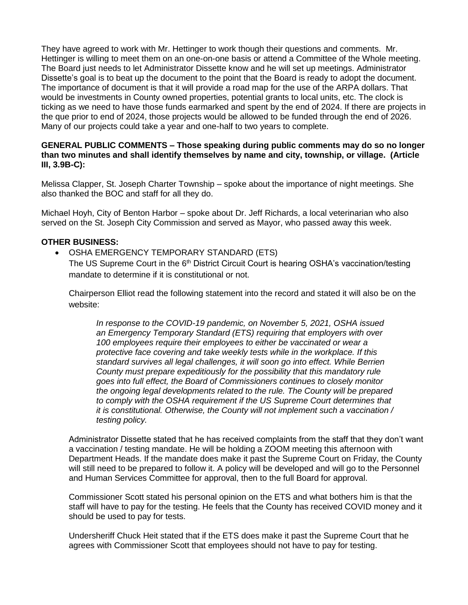They have agreed to work with Mr. Hettinger to work though their questions and comments. Mr. Hettinger is willing to meet them on an one-on-one basis or attend a Committee of the Whole meeting. The Board just needs to let Administrator Dissette know and he will set up meetings. Administrator Dissette's goal is to beat up the document to the point that the Board is ready to adopt the document. The importance of document is that it will provide a road map for the use of the ARPA dollars. That would be investments in County owned properties, potential grants to local units, etc. The clock is ticking as we need to have those funds earmarked and spent by the end of 2024. If there are projects in the que prior to end of 2024, those projects would be allowed to be funded through the end of 2026. Many of our projects could take a year and one-half to two years to complete.

### **GENERAL PUBLIC COMMENTS – Those speaking during public comments may do so no longer than two minutes and shall identify themselves by name and city, township, or village. (Article III, 3.9B-C):**

Melissa Clapper, St. Joseph Charter Township – spoke about the importance of night meetings. She also thanked the BOC and staff for all they do.

Michael Hoyh, City of Benton Harbor – spoke about Dr. Jeff Richards, a local veterinarian who also served on the St. Joseph City Commission and served as Mayor, who passed away this week.

### **OTHER BUSINESS:**

OSHA EMERGENCY TEMPORARY STANDARD (ETS)

The US Supreme Court in the  $6<sup>th</sup>$  District Circuit Court is hearing OSHA's vaccination/testing mandate to determine if it is constitutional or not.

Chairperson Elliot read the following statement into the record and stated it will also be on the website:

*In response to the COVID-19 pandemic, on November 5, 2021, OSHA issued an Emergency Temporary Standard (ETS) requiring that employers with over 100 employees require their employees to either be vaccinated or wear a protective face covering and take weekly tests while in the workplace. If this standard survives all legal challenges, it will soon go into effect. While Berrien County must prepare expeditiously for the possibility that this mandatory rule goes into full effect, the Board of Commissioners continues to closely monitor the ongoing legal developments related to the rule. The County will be prepared to comply with the OSHA requirement if the US Supreme Court determines that it is constitutional. Otherwise, the County will not implement such a vaccination / testing policy.* 

Administrator Dissette stated that he has received complaints from the staff that they don't want a vaccination / testing mandate. He will be holding a ZOOM meeting this afternoon with Department Heads. If the mandate does make it past the Supreme Court on Friday, the County will still need to be prepared to follow it. A policy will be developed and will go to the Personnel and Human Services Committee for approval, then to the full Board for approval.

Commissioner Scott stated his personal opinion on the ETS and what bothers him is that the staff will have to pay for the testing. He feels that the County has received COVID money and it should be used to pay for tests.

Undersheriff Chuck Heit stated that if the ETS does make it past the Supreme Court that he agrees with Commissioner Scott that employees should not have to pay for testing.